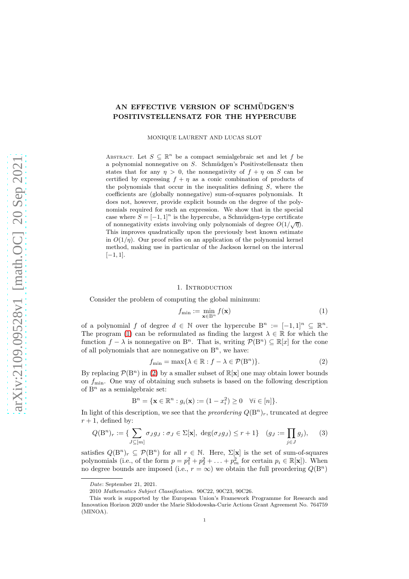# AN EFFECTIVE VERSION OF SCHMÜDGEN'S POSITIVSTELLENSATZ FOR THE HYPERCUBE

MONIQUE LAURENT AND LUCAS SLOT

ABSTRACT. Let  $S \subseteq \mathbb{R}^n$  be a compact semialgebraic set and let f be a polynomial nonnegative on  $S$ . Schmüdgen's Positivstellensatz then states that for any  $\eta > 0$ , the nonnegativity of  $f + \eta$  on S can be certified by expressing  $f + \eta$  as a conic combination of products of the polynomials that occur in the inequalities defining  $S$ , where the coefficients are (globally nonnegative) sum-of-squares polynomials. It does not, however, provide explicit bounds on the degree of the polynomials required for such an expression. We show that in the special case where  $S = [-1, 1]^n$  is the hypercube, a Schmüdgen-type certificate of nonnegativity exists involving only polynomials of degree  $O(1/\sqrt{\eta})$ . This improves quadratically upon the previously best known estimate in  $O(1/n)$ . Our proof relies on an application of the polynomial kernel method, making use in particular of the Jackson kernel on the interval  $[-1, 1]$ .

#### 1. Introduction

Consider the problem of computing the global minimum:

<span id="page-0-0"></span>
$$
f_{\min} := \min_{\mathbf{x} \in B^n} f(\mathbf{x}) \tag{1}
$$

of a polynomial f of degree  $d \in \mathbb{N}$  over the hypercube  $B^n := [-1,1]^n \subseteq \mathbb{R}^n$ . The program [\(1\)](#page-0-0) can be reformulated as finding the largest  $\lambda \in \mathbb{R}$  for which the function  $f - \lambda$  is nonnegative on B<sup>n</sup>. That is, writing  $\mathcal{P}(B^n) \subseteq \mathbb{R}[x]$  for the cone of all polynomials that are nonnegative on  $B<sup>n</sup>$ , we have:

<span id="page-0-1"></span>
$$
f_{\min} = \max\{\lambda \in \mathbb{R} : f - \lambda \in \mathcal{P}(\mathcal{B}^n)\}.
$$
 (2)

By replacing  $\mathcal{P}(B^n)$  in [\(2\)](#page-0-1) by a smaller subset of  $\mathbb{R}[\mathbf{x}]$  one may obtain lower bounds on  $f_{\text{min}}$ . One way of obtaining such subsets is based on the following description of  $B<sup>n</sup>$  as a semialgebraic set:

$$
B^{n} = \{ \mathbf{x} \in \mathbb{R}^{n} : g_{i}(\mathbf{x}) := (1 - x_{i}^{2}) \ge 0 \quad \forall i \in [n] \}.
$$

In light of this description, we see that the *preordering*  $Q(B^n)_r$ , truncated at degree  $r + 1$ , defined by:

<span id="page-0-2"></span>
$$
Q(\mathbf{B}^n)_r := \{ \sum_{J \subseteq [m]} \sigma_J g_J : \sigma_J \in \Sigma[\mathbf{x}], \ \deg(\sigma_J g_J) \le r + 1 \} \quad (g_J := \prod_{j \in J} g_j), \tag{3}
$$

satisfies  $Q(B^n)_r \subseteq \mathcal{P}(B^n)$  for all  $r \in \mathbb{N}$ . Here,  $\Sigma[\mathbf{x}]$  is the set of sum-of-squares polynomials (i.e., of the form  $p = p_1^2 + p_2^2 + \ldots + p_m^2$  for certain  $p_i \in \mathbb{R}[\mathbf{x}]$ ). When no degree bounds are imposed (i.e.,  $r = \infty$ ) we obtain the full preordering  $Q(B^n)$ 

Date: September 21, 2021.

<sup>2010</sup> Mathematics Subject Classification. 90C22, 90C23, 90C26.

This work is supported by the European Union's Framework Programme for Research and Innovation Horizon 2020 under the Marie Skłodowska-Curie Actions Grant Agreement No. 764759 (MINOA).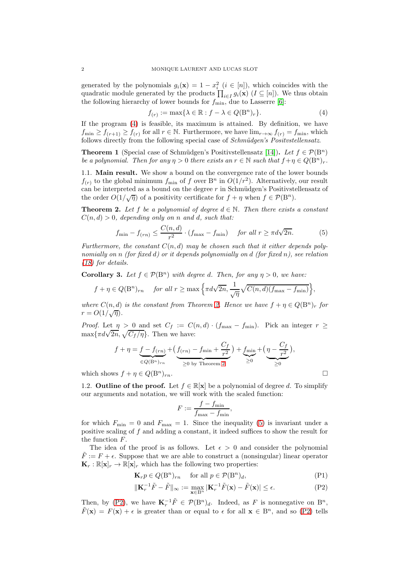generated by the polynomials  $g_i(\mathbf{x}) = 1 - x_i^2$   $(i \in [n])$ , which coincides with the quadratic module generated by the products  $\prod_{i\in I} g_i(\mathbf{x})$  ( $I \subseteq [n]$ ). We thus obtain the following hierarchy of lower bounds for  $f_{\min}$ , due to Lasserre [\[6\]](#page-9-0):

<span id="page-1-0"></span>
$$
f_{(r)} := \max\{\lambda \in \mathbb{R} : f - \lambda \in Q(\mathbf{B}^n)_r\}.
$$
 (4)

If the program [\(4\)](#page-1-0) is feasible, its maximum is attained. By definition, we have  $f_{\min} \ge f_{(r+1)} \ge f_{(r)}$  for all  $r \in \mathbb{N}$ . Furthermore, we have  $\lim_{r \to \infty} f_{(r)} = f_{\min}$ , which follows directly from the following special case of *Schm¨udgen's Positvstellensatz*.

**Theorem 1** (Special case of Schmüdgen's Positivstellensatz [\[14\]](#page-10-0)). Let  $f \in \mathcal{P}(B^n)$ *be a polynomial. Then for any*  $\eta > 0$  *there exists an*  $r \in \mathbb{N}$  *such that*  $f + \eta \in Q(B^n)_r$ .

1.1. Main result. We show a bound on the convergence rate of the lower bounds  $f(r)$  to the global minimum  $f_{\min}$  of f over B<sup>n</sup> in  $O(1/r^2)$ . Alternatively, our result can be interpreted as a bound on the degree  $r$  in Schmüdgen's Positivstellensatz of the order  $O(1/\sqrt{\eta})$  of a positivity certificate for  $f + \eta$  when  $f \in \mathcal{P}(\mathcal{B}^n)$ .

<span id="page-1-1"></span>**Theorem 2.** Let f be a polynomial of degree  $d \in \mathbb{N}$ . Then there exists a constant  $C(n, d) > 0$ *, depending only on n and d, such that:* 

<span id="page-1-2"></span>
$$
f_{\min} - f_{(rn)} \le \frac{C(n, d)}{r^2} \cdot (f_{\max} - f_{\min}) \quad \text{for all } r \ge \pi d \sqrt{2n}.
$$
 (5)

Furthermore, the constant  $C(n, d)$  may be chosen such that it either depends poly*nomially on* n *(for fixed* d*) or it depends polynomially on* d *(for fixed* n*), see relation [\(18\)](#page-8-0) for details.*

**Corollary 3.** *Let*  $f \in \mathcal{P}(B^n)$  *with degree d. Then, for any*  $\eta > 0$ *, we have:* 

$$
f + \eta \in Q(\mathcal{B}^n)_{rn}
$$
 for all  $r \ge \max\left\{\pi d\sqrt{2n}, \frac{1}{\sqrt{\eta}}\sqrt{C(n,d)(f_{\max} - f_{\min})}\right\},\$ 

*where*  $C(n, d)$  *is the constant from Theorem [2.](#page-1-1) Hence we have*  $f + \eta \in Q(\mathbb{B}^n)_r$  *for*  $r = O(1/\sqrt{\eta}).$ 

*Proof.* Let  $\eta > 0$  and set  $C_f := C(n,d) \cdot (f_{\text{max}} - f_{\text{min}})$ . Pick an integer  $r \geq$  $\max\{\pi d\sqrt{2n}, \sqrt{C_f / \eta}\}.$  Then we have:

$$
f + \eta = \underbrace{f - f_{(rn)}}_{\in Q(B^n)_{rn}} + \underbrace{(f_{(rn)} - f_{\min} + \frac{C_f}{r^2})}_{\geq 0 \text{ by Theorem 2}} + \underbrace{f_{\min}}_{\geq 0} + \underbrace{(\eta - \frac{C_f}{r^2})}_{\geq 0},
$$

<span id="page-1-5"></span>which shows  $f + \eta \in Q(B^n)_{rn}$ .

1.2. Outline of the proof. Let  $f \in \mathbb{R}[\mathbf{x}]$  be a polynomial of degree d. To simplify our arguments and notation, we will work with the scaled function:

<span id="page-1-4"></span><span id="page-1-3"></span>
$$
F := \frac{f - f_{\min}}{f_{\max} - f_{\min}},
$$

for which  $F_{\text{min}} = 0$  and  $F_{\text{max}} = 1$ . Since the inequality [\(5\)](#page-1-2) is invariant under a positive scaling of f and adding a constant, it indeed suffices to show the result for the function F.

The idea of the proof is as follows. Let  $\epsilon > 0$  and consider the polynomial  $\tilde{F} := F + \epsilon$ . Suppose that we are able to construct a (nonsingular) linear operator  $\mathbf{K}_r : \mathbb{R}[\mathbf{x}]_r \to \mathbb{R}[\mathbf{x}]_r$  which has the following two properties:

$$
\mathbf{K}_r p \in Q(\mathbf{B}^n)_{rn} \quad \text{ for all } p \in \mathcal{P}(\mathbf{B}^n)_d,
$$
 (P1)

$$
\|\mathbf{K}_r^{-1}\tilde{F} - \tilde{F}\|_{\infty} := \max_{\mathbf{x} \in \mathcal{B}^n} |\mathbf{K}_r^{-1}\tilde{F}(\mathbf{x}) - \tilde{F}(\mathbf{x})| \le \epsilon.
$$
 (P2)

Then, by [\(P2\)](#page-1-3), we have  $\mathbf{K}_r^{-1} \tilde{F} \in \mathcal{P}(\mathbf{B}^n)_d$ . Indeed, as F is nonnegative on  $\mathbf{B}^n$ ,  $\tilde{F}(\mathbf{x}) = F(\mathbf{x}) + \epsilon$  is greater than or equal to  $\epsilon$  for all  $\mathbf{x} \in \mathcal{B}^n$ , and so [\(P2\)](#page-1-3) tells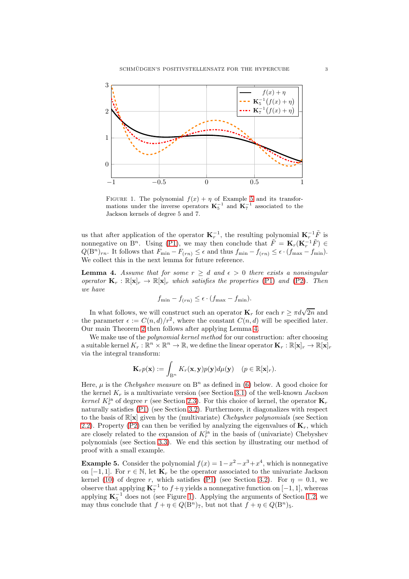<span id="page-2-2"></span>

FIGURE 1. The polynomial  $f(x) + \eta$  of Example [5](#page-2-0) and its transformations under the inverse operators  $K_5^{-1}$  and  $K_7^{-1}$  associated to the Jackson kernels of degree 5 and 7.

us that after application of the operator  $\mathbf{K}_r^{-1}$ , the resulting polynomial  $\mathbf{K}_r^{-1}\tilde{F}$  is nonnegative on  $B^n$ . Using [\(P1\)](#page-1-4), we may then conclude that  $\tilde{F} = \mathbf{K}_r(\mathbf{K}_r^{-1}\tilde{F}) \in$  $Q(B<sup>n</sup>)<sub>rn</sub>$ . It follows that  $F_{\min} - F_{(rn)} \leq \epsilon$  and thus  $f_{\min} - f_{(rn)} \leq \epsilon \cdot (f_{\max} - f_{\min})$ . We collect this in the next lemma for future reference.

<span id="page-2-1"></span>**Lemma 4.** Assume that for some  $r \geq d$  and  $\epsilon > 0$  there exists a nonsingular *operator*  $\mathbf{K}_r : \mathbb{R}[\mathbf{x}]_r \to \mathbb{R}[\mathbf{x}]_r$  *which satisfies the properties* [\(P1\)](#page-1-4) *and* [\(P2\)](#page-1-3)*. Then we have*

$$
f_{\min} - f_{(rn)} \leq \epsilon \cdot (f_{\max} - f_{\min}).
$$

In what follows, we will construct such an operator  $\mathbf{K}_r$  for each  $r \ge \pi d\sqrt{2n}$  and the parameter  $\epsilon := C(n,d)/r^2$ , where the constant  $C(n,d)$  will be specified later. Our main Theorem [2](#page-1-1) then follows after applying Lemma [4.](#page-2-1)

We make use of the *polynomial kernel method* for our construction: after choosing a suitable kernel  $K_r : \mathbb{R}^n \times \mathbb{R}^n \to \mathbb{R}$ , we define the linear operator  $\mathbf{K}_r : \mathbb{R}[\mathbf{x}]_r \to \mathbb{R}[\mathbf{x}]_r$ via the integral transform:

$$
\mathbf{K}_{r}p(\mathbf{x}):=\int_{\mathbf{B}^{n}}K_{r}(\mathbf{x},\mathbf{y})p(\mathbf{y})d\mu(\mathbf{y}) \quad (p \in \mathbb{R}[\mathbf{x}]_{r}).
$$

Here,  $\mu$  is the *Chebyshev measure* on  $B<sup>n</sup>$  as defined in [\(6\)](#page-3-0) below. A good choice for the kernel K<sup>r</sup> is a multivariate version (see Section [3.1\)](#page-6-0) of the well-known *Jackson kernel*  $K_r^{\text{ja}}$  of degree r (see Section [2.3\)](#page-4-0). For this choice of kernel, the operator  $\mathbf{K}_r$ naturally satisfies [\(P1\)](#page-1-4) (see Section [3.2\)](#page-7-0). Furthermore, it diagonalizes with respect to the basis of R[x] given by the (multivariate) *Chebyshev polynomials* (see Section [2.2\)](#page-3-1). Property [\(P2\)](#page-1-3) can then be verified by analyzing the eigenvalues of  $\mathbf{K}_r$ , which are closely related to the expansion of  $K_r^{\text{ja}}$  in the basis of (univariate) Chebyshev polynomials (see Section [3.3\)](#page-7-1). We end this section by illustrating our method of proof with a small example.

<span id="page-2-0"></span>**Example 5.** Consider the polynomial  $f(x) = 1 - x^2 - x^3 + x^4$ , which is nonnegative on  $[-1, 1]$ . For  $r \in \mathbb{N}$ , let  $\mathbf{K}_r$  be the operator associated to the univariate Jackson kernel [\(10\)](#page-4-1) of degree r, which satisfies [\(P1\)](#page-1-4) (see Section [3.2\)](#page-7-0). For  $\eta = 0.1$ , we observe that applying  $\mathbf{K}_7^{-1}$  to  $f + \eta$  yields a nonnegative function on  $[-1, 1]$ , whereas applying  $\mathbf{K}_5^{-1}$  does not (see Figure [1\)](#page-2-2). Applying the arguments of Section [1.2,](#page-1-5) we may thus conclude that  $f + \eta \in Q(\mathbb{B}^n)_{7}$ , but not that  $f + \eta \in Q(\mathbb{B}^n)_{5}$ .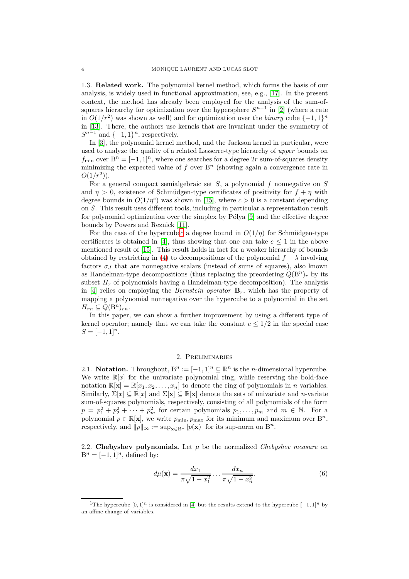1.3. Related work. The polynomial kernel method, which forms the basis of our analysis, is widely used in functional approximation, see, e.g., [\[17\]](#page-10-1). In the present context, the method has already been employed for the analysis of the sum-ofsquares hierarchy for optimization over the hypersphere  $S^{n-1}$  in [\[2\]](#page-9-1) (where a rate in  $O(1/r^2)$  was shown as well) and for optimization over the *binary* cube  $\{-1,1\}^n$ in [\[13\]](#page-10-2). There, the authors use kernels that are invariant under the symmetry of  $S^{n-1}$  and  $\{-1,1\}^n$ , respectively.

In [\[3\]](#page-9-2), the polynomial kernel method, and the Jackson kernel in particular, were used to analyze the quality of a related Lasserre-type hierarchy of *upper* bounds on  $f_{\min}$  over  $B^n = [-1, 1]^n$ , where one searches for a degree 2r sum-of-squares density minimizing the expected value of f over  $B<sup>n</sup>$  (showing again a convergence rate in  $O(1/r^2)$ ).

For a general compact semialgebraic set  $S$ , a polynomial  $f$  nonnegative on  $S$ and  $\eta > 0$ , existence of Schmüdgen-type certificates of positivity for  $f + \eta$  with degree bounds in  $O(1/\eta^c)$  was shown in [\[15\]](#page-10-3), where  $c > 0$  is a constant depending on S. This result uses different tools, including in particular a representation result for polynomial optimization over the simplex by  $P_0$  (9) and the effective degree bounds by Powers and Reznick [\[11\]](#page-10-5).

For the case of the hypercube<sup>[1](#page-3-2)</sup> a degree bound in  $O(1/\eta)$  for Schmüdgen-type certificates is obtained in [\[4\]](#page-9-3), thus showing that one can take  $c \leq 1$  in the above mentioned result of [\[15\]](#page-10-3). This result holds in fact for a weaker hierarchy of bounds obtained by restricting in [\(4\)](#page-1-0) to decompositions of the polynomial  $f - \lambda$  involving factors  $\sigma$ <sub>J</sub> that are nonnegative scalars (instead of sums of squares), also known as Handelman-type decompositions (thus replacing the preordering  $Q(B^n)_r$  by its subset  $H_r$  of polynomials having a Handelman-type decomposition). The analysis in [\[4\]](#page-9-3) relies on employing the *Bernstein operator*  $\mathbf{B}_r$ , which has the property of mapping a polynomial nonnegative over the hypercube to a polynomial in the set  $H_{rn} \subseteq Q(\mathbf{B}^n)_{rn}.$ 

In this paper, we can show a further improvement by using a different type of kernel operator; namely that we can take the constant  $c \leq 1/2$  in the special case  $S = [-1, 1]^n$ .

#### 2. Preliminaries

2.1. **Notation.** Throughout,  $B^n := [-1,1]^n \subseteq \mathbb{R}^n$  is the *n*-dimensional hypercube. We write  $\mathbb{R}[x]$  for the univariate polynomial ring, while reserving the bold-face notation  $\mathbb{R}[\mathbf{x}] = \mathbb{R}[x_1, x_2, \dots, x_n]$  to denote the ring of polynomials in *n* variables. Similarly,  $\Sigma[x] \subseteq \mathbb{R}[x]$  and  $\Sigma[\mathbf{x}] \subseteq \mathbb{R}[\mathbf{x}]$  denote the sets of univariate and *n*-variate sum-of-squares polynomials, respectively, consisting of all polynomials of the form  $p = p_1^2 + p_2^2 + \cdots + p_m^2$  for certain polynomials  $p_1, \ldots, p_m$  and  $m \in \mathbb{N}$ . For a polynomial  $p \in \mathbb{R}[\mathbf{x}]$ , we write  $p_{\min}, p_{\max}$  for its minimum and maximum over  $B^n$ , respectively, and  $||p||_{\infty} := \sup_{\mathbf{x} \in B^n} |p(\mathbf{x})|$  for its sup-norm on  $B^n$ .

<span id="page-3-1"></span>2.2. Chebyshev polynomials. Let  $\mu$  be the normalized *Chebyshev measure* on  $B^n = [-1, 1]^n$ , defined by:

<span id="page-3-0"></span>
$$
d\mu(\mathbf{x}) = \frac{dx_1}{\pi\sqrt{1-x_1^2}} \dots \frac{dx_n}{\pi\sqrt{1-x_n^2}}.\tag{6}
$$

<span id="page-3-2"></span><sup>&</sup>lt;sup>1</sup>The hypercube  $[0, 1]^n$  is considered in [\[4\]](#page-9-3) but the results extend to the hypercube  $[-1, 1]^n$  by an affine change of variables.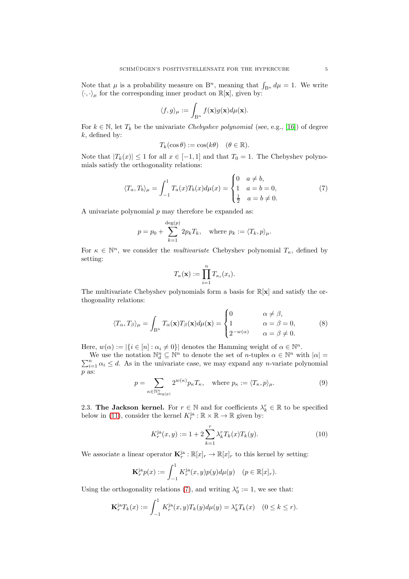Note that  $\mu$  is a probability measure on B<sup>n</sup>, meaning that  $\int_{B^n} d\mu = 1$ . We write  $\langle \cdot, \cdot \rangle_{\mu}$  for the corresponding inner product on  $\mathbb{R}[\mathbf{x}]$ , given by:

$$
\langle f, g \rangle_{\mu} := \int_{\mathbf{B}^n} f(\mathbf{x}) g(\mathbf{x}) d\mu(\mathbf{x}).
$$

For  $k \in \mathbb{N}$ , let  $T_k$  be the univariate *Chebyshev polynomial* (see, e.g., [\[16\]](#page-10-6)) of degree  $k$ , defined by:

$$
T_k(\cos \theta) := \cos(k\theta) \quad (\theta \in \mathbb{R}).
$$

Note that  $|T_k(x)| \leq 1$  for all  $x \in [-1,1]$  and that  $T_0 = 1$ . The Chebyshev polynomials satisfy the orthogonality relations:

<span id="page-4-2"></span>
$$
\langle T_a, T_b \rangle_{\mu} = \int_{-1}^1 T_a(x) T_b(x) d\mu(x) = \begin{cases} 0 & a \neq b, \\ 1 & a = b = 0, \\ \frac{1}{2} & a = b \neq 0. \end{cases}
$$
(7)

A univariate polynomial  $p$  may therefore be expanded as:

$$
p = p_0 + \sum_{k=1}^{\deg(p)} 2p_k T_k, \quad \text{where } p_k := \langle T_k, p \rangle_{\mu}.
$$

For  $\kappa \in \mathbb{N}^n$ , we consider the *multivariate* Chebyshev polynomial  $T_{\kappa}$ , defined by setting:

$$
T_{\kappa}(\mathbf{x}) := \prod_{i=1}^n T_{\kappa_i}(x_i).
$$

The multivariate Chebyshev polynomials form a basis for  $\mathbb{R}[\mathbf{x}]$  and satisfy the orthogonality relations:

<span id="page-4-4"></span>
$$
\langle T_{\alpha}, T_{\beta} \rangle_{\mu} = \int_{\mathcal{B}^n} T_{\alpha}(\mathbf{x}) T_{\beta}(\mathbf{x}) d\mu(\mathbf{x}) = \begin{cases} 0 & \alpha \neq \beta, \\ 1 & \alpha = \beta = 0, \\ 2^{-w(\alpha)} & \alpha = \beta \neq 0. \end{cases}
$$
 (8)

Here,  $w(\alpha) := |\{i \in [n] : \alpha_i \neq 0\}|$  denotes the Hamming weight of  $\alpha \in \mathbb{N}^n$ .

We use the notation  $\mathbb{N}_d^n \subseteq \mathbb{N}^n$  to denote the set of *n*-tuples  $\alpha \in \mathbb{N}^n$ We use the notation  $\mathbb{N}_d^n \subseteq \mathbb{N}^n$  to denote the set of *n*-tuples  $\alpha \in \mathbb{N}^n$  with  $|\alpha| = \sum_{i=1}^n \alpha_i \leq d$ . As in the univariate case, we may expand any *n*-variate polynomial p as:

<span id="page-4-3"></span>
$$
p = \sum_{\kappa \in \mathbb{N}_{\deg(p)}^n} 2^{w(\kappa)} p_{\kappa} T_{\kappa}, \quad \text{where } p_{\kappa} := \langle T_{\kappa}, p \rangle_{\mu}.
$$
 (9)

<span id="page-4-0"></span>2.3. The Jackson kernel. For  $r \in \mathbb{N}$  and for coefficients  $\lambda_k^r \in \mathbb{R}$  to be specified below in [\(11\)](#page-5-0), consider the kernel  $K_r^{\text{ja}} : \mathbb{R} \times \mathbb{R} \to \mathbb{R}$  given by:

<span id="page-4-1"></span>
$$
K_r^{\text{ja}}(x,y) := 1 + 2 \sum_{k=1}^r \lambda_k^r T_k(x) T_k(y). \tag{10}
$$

We associate a linear operator  $\mathbf{K}_r^{\text{ja}} : \mathbb{R}[x]_r \to \mathbb{R}[x]_r$  to this kernel by setting:

$$
\mathbf{K}_{r}^{\text{ia}}p(x) := \int_{-1}^{1} K_{r}^{\text{ja}}(x, y)p(y)d\mu(y) \quad (p \in \mathbb{R}[x]_{r}).
$$

Using the orthogonality relations [\(7\)](#page-4-2), and writing  $\lambda_0^r := 1$ , we see that:

$$
\mathbf{K}_r^{\mathrm{ja}} T_k(x) := \int_{-1}^1 K_r^{\mathrm{ja}}(x, y) T_k(y) d\mu(y) = \lambda_k^r T_k(x) \quad (0 \le k \le r).
$$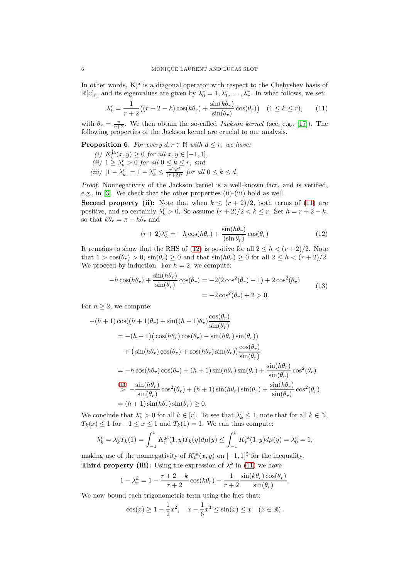In other words,  $\mathbf{K}_r^{\text{ja}}$  is a diagonal operator with respect to the Chebyshev basis of  $\mathbb{R}[x]_r$ , and its eigenvalues are given by  $\lambda_0^r = 1, \lambda_1^r, \ldots, \lambda_r^r$ . In what follows, we set:

<span id="page-5-0"></span>
$$
\lambda_k^r = \frac{1}{r+2} \big( (r+2-k)\cos(k\theta_r) + \frac{\sin(k\theta_r)}{\sin(\theta_r)}\cos(\theta_r) \big) \quad (1 \le k \le r), \tag{11}
$$

with  $\theta_r = \frac{\pi}{r+2}$ . We then obtain the so-called *Jackson kernel* (see, e.g., [\[17\]](#page-10-1)). The following properties of the Jackson kernel are crucial to our analysis.

<span id="page-5-3"></span>**Proposition 6.** *For every*  $d, r \in \mathbb{N}$  *with*  $d \leq r$ *, we have:* 

- $(i)$  K<sup>*ja*</sup>(*x*, *y*) ≥ 0 *for all x*, *y* ∈ [−1, 1]*,*
- (*ii*)  $1 \geq \lambda_k^r > 0$  *for all*  $0 \leq k \leq r$ *, and*
- $(iii)$   $|1 \lambda_k^r| = 1 \lambda_k^r \le \frac{\pi^2 d^2}{(r+2)^2}$  *for all*  $0 \le k \le d$ *.*

*Proof.* Nonnegativity of the Jackson kernel is a well-known fact, and is verified, e.g., in [\[3\]](#page-9-2). We check that the other properties (ii)-(iii) hold as well.

**Second property (ii):** Note that when  $k \leq (r+2)/2$ , both terms of [\(11\)](#page-5-0) are positive, and so certainly  $\lambda_k^r > 0$ . So assume  $(r+2)/2 < k \le r$ . Set  $h = r + 2 - k$ , so that  $k\theta_r = \pi - h\theta_r$  and

<span id="page-5-1"></span>
$$
(r+2)\lambda_k^r = -h\cos(h\theta_r) + \frac{\sin(h\theta_r)}{(\sin\theta_r)}\cos(\theta_r)
$$
 (12)

It remains to show that the RHS of [\(12\)](#page-5-1) is positive for all  $2 \leq h \leq (r+2)/2$ . Note that  $1 > \cos(\theta_r) > 0$ ,  $\sin(\theta_r) \ge 0$  and that  $\sin(h\theta_r) \ge 0$  for all  $2 \le h < (r+2)/2$ . We proceed by induction. For  $h = 2$ , we compute:

$$
-h\cos(h\theta_r) + \frac{\sin(h\theta_r)}{\sin(\theta_r)}\cos(\theta_r) = -2(2\cos^2(\theta_r) - 1) + 2\cos^2(\theta_r)
$$
  

$$
= -2\cos^2(\theta_r) + 2 > 0.
$$
 (13)

<span id="page-5-2"></span>For  $h \geq 2$ , we compute:

$$
-(h+1)\cos((h+1)\theta_r) + \sin((h+1)\theta_r)\frac{\cos(\theta_r)}{\sin(\theta_r)}
$$
  
= -(h+1)(\cos(h\theta\_r)\cos(\theta\_r) - \sin(h\theta\_r)\sin(\theta\_r))  
+ (\sin(h\theta\_r)\cos(\theta\_r) + \cos(h\theta\_r)\sin(\theta\_r))\frac{\cos(\theta\_r)}{\sin(\theta\_r)}  
= -h\cos(h\theta\_r)\cos(\theta\_r) + (h+1)\sin(h\theta\_r)\sin(\theta\_r) + \frac{\sin(h\theta\_r)}{\sin(\theta\_r)}\cos^2(\theta\_r)  

$$
\sum_{r=1}^{\left(\frac{13}{2}\right)} \frac{\sin(h\theta_r)}{\sin(\theta_r)}\cos^2(\theta_r) + (h+1)\sin(h\theta_r)\sin(\theta_r) + \frac{\sin(h\theta_r)}{\sin(\theta_r)}\cos^2(\theta_r)= (h+1)\sin(h\theta_r)\sin(\theta_r) \ge 0.
$$

We conclude that  $\lambda_k^r > 0$  for all  $k \in [r]$ . To see that  $\lambda_k^r \leq 1$ , note that for all  $k \in \mathbb{N}$ ,  $T_k(x) \leq 1$  for  $-1 \leq x \leq 1$  and  $T_k(1) = 1$ . We can thus compute:

$$
\lambda_k^r = \lambda_k^r T_k(1) = \int_{-1}^1 K_r^{\text{ja}}(1, y) T_k(y) d\mu(y) \le \int_{-1}^1 K_r^{\text{ja}}(1, y) d\mu(y) = \lambda_0^r = 1,
$$

making use of the nonnegativity of  $K_r^{ja}(x, y)$  on  $[-1, 1]^2$  for the inequality. **Third property (iii):** Using the expression of  $\lambda_r^k$  in [\(11\)](#page-5-0) we have

$$
1 - \lambda_r^k = 1 - \frac{r+2-k}{r+2} \cos(k\theta_r) - \frac{1}{r+2} \frac{\sin(k\theta_r)\cos(\theta_r)}{\sin(\theta_r)}
$$

.

We now bound each trigonometric term using the fact that:

$$
\cos(x) \ge 1 - \frac{1}{2}x^2
$$
,  $x - \frac{1}{6}x^3 \le \sin(x) \le x$   $(x \in \mathbb{R})$ .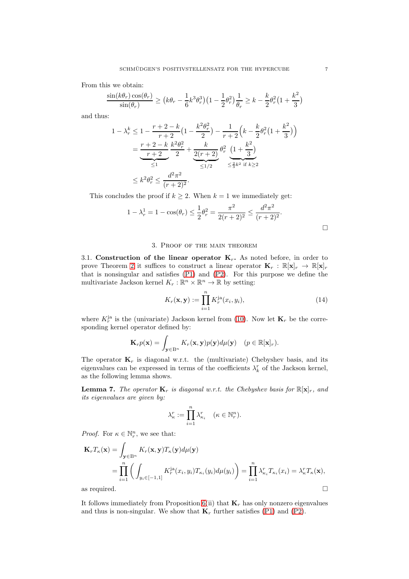From this we obtain:

$$
\frac{\sin(k\theta_r)\cos(\theta_r)}{\sin(\theta_r)} \ge (k\theta_r - \frac{1}{6}k^3\theta_r^3)(1 - \frac{1}{2}\theta_r^2)\frac{1}{\theta_r} \ge k - \frac{k}{2}\theta_r^2(1 + \frac{k^2}{3})
$$

and thus:

$$
1 - \lambda_r^k \le 1 - \frac{r+2-k}{r+2} \left(1 - \frac{k^2 \theta_r^2}{2}\right) - \frac{1}{r+2} \left(k - \frac{k}{2} \theta_r^2 \left(1 + \frac{k^2}{3}\right)\right)
$$
  
= 
$$
\frac{r+2-k}{r+2} \frac{k^2 \theta_r^2}{2} + \underbrace{\frac{k}{2(r+2)}}_{\le 1/2} \theta_r^2 \underbrace{\left(1 + \frac{k^2}{3}\right)}_{\le \frac{2}{3}k^2 \text{ if } k \ge 2}
$$
  

$$
\le k^2 \theta_r^2 \le \frac{d^2 \pi^2}{(r+2)^2}.
$$

This concludes the proof if  $k \geq 2$ . When  $k = 1$  we immediately get:

$$
1 - \lambda_r^1 = 1 - \cos(\theta_r) \le \frac{1}{2}\theta_r^2 = \frac{\pi^2}{2(r+2)^2} \le \frac{d^2\pi^2}{(r+2)^2}.
$$

### 3. Proof of the main theorem

<span id="page-6-0"></span>3.1. Construction of the linear operator  $K_r$ . As noted before, in order to prove Theorem [2](#page-1-1) it suffices to construct a linear operator  $\mathbf{K}_r : \mathbb{R}[\mathbf{x}]_r \to \mathbb{R}[\mathbf{x}]_r$ that is nonsingular and satisfies [\(P1\)](#page-1-4) and [\(P2\)](#page-1-3). For this purpose we define the multivariate Jackson kernel  $K_r : \mathbb{R}^n \times \mathbb{R}^n \to \mathbb{R}$  by setting:

$$
K_r(\mathbf{x}, \mathbf{y}) := \prod_{i=1}^n K_r^{j\mathbf{a}}(x_i, y_i), \tag{14}
$$

where  $K_r^{\text{ja}}$  is the (univariate) Jackson kernel from [\(10\)](#page-4-1). Now let  $\mathbf{K}_r$  be the corresponding kernel operator defined by:

$$
\mathbf{K}_r p(\mathbf{x}) = \int_{\mathbf{y} \in \mathbb{B}^n} K_r(\mathbf{x}, \mathbf{y}) p(\mathbf{y}) d\mu(\mathbf{y}) \quad (p \in \mathbb{R}[\mathbf{x}]_r).
$$

The operator  $\mathbf{K}_r$  is diagonal w.r.t. the (multivariate) Chebyshev basis, and its eigenvalues can be expressed in terms of the coefficients  $\lambda_k^r$  of the Jackson kernel, as the following lemma shows.

<span id="page-6-1"></span>**Lemma 7.** The operator  $\mathbf{K}_r$  is diagonal w.r.t. the Chebyshev basis for  $\mathbb{R}[\mathbf{x}]_r$ , and *its eigenvalues are given by:*

$$
\lambda_{\kappa}^r := \prod_{i=1}^n \lambda_{\kappa_i}^r \quad (\kappa \in \mathbb{N}_r^n).
$$

*Proof.* For  $\kappa \in \mathbb{N}_r^n$ , we see that:

$$
\mathbf{K}_{r}T_{\kappa}(\mathbf{x}) = \int_{\mathbf{y} \in \mathcal{B}^{n}} K_{r}(\mathbf{x}, \mathbf{y}) T_{\kappa}(\mathbf{y}) d\mu(\mathbf{y})
$$
  
\n
$$
= \prod_{i=1}^{n} \left( \int_{y_{i} \in [-1,1]} K_{r}^{j\mathbf{a}}(x_{i}, y_{i}) T_{\kappa_{i}}(y_{i}) d\mu(y_{i}) \right) = \prod_{i=1}^{n} \lambda_{\kappa_{i}}^{r} T_{\kappa_{i}}(x_{i}) = \lambda_{\kappa}^{r} T_{\kappa}(\mathbf{x}),
$$
  
\nas required.

It follows immediately from Proposition  $6(ii)$  that  $\mathbf{K}_r$  has only nonzero eigenvalues and thus is non-singular. We show that  $\mathbf{K}_r$  further satisfies [\(P1\)](#page-1-4) and [\(P2\)](#page-1-3).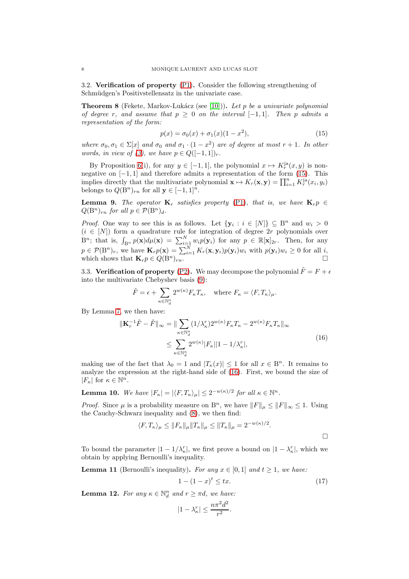<span id="page-7-0"></span>3.2. Verification of property [\(P1\)](#page-1-4). Consider the following strengthening of Schmüdgen's Positivstellensatz in the univariate case.

**Theorem 8** (Fekete, Markov-Lukácz (see [\[10\]](#page-10-7))). Let p be a univariate polynomial *of degree* r, and assume that  $p \geq 0$  *on the interval*  $[-1,1]$ *. Then* p *admits a representation of the form:*

<span id="page-7-2"></span>
$$
p(x) = \sigma_0(x) + \sigma_1(x)(1 - x^2),
$$
\n(15)

*where*  $\sigma_0, \sigma_1 \in \Sigma[x]$  *and*  $\sigma_0$  *and*  $\sigma_1 \cdot (1 - x^2)$  *are of degree at most*  $r + 1$ *. In other words, in view of* [\(3\)](#page-0-2), we have  $p \in Q([-1, 1])_r$ .

By Proposition [6\(](#page-5-3)i), for any  $y \in [-1, 1]$ , the polynomial  $x \mapsto K_r^{\text{ja}}(x, y)$  is nonnegative on  $[-1, 1]$  and therefore admits a representation of the form  $(15)$ . This implies directly that the multivariate polynomial  $\mathbf{x} \mapsto K_r(\mathbf{x}, \mathbf{y}) = \prod_{i=1}^n K_r^{j\hat{\mathbf{a}}}(x_i, y_i)$ belongs to  $Q(B^n)_{rn}$  for all  $y \in [-1,1]^n$ .

**Lemma 9.** *The operator*  $\mathbf{K}_r$  *satisfies property* [\(P1\)](#page-1-4)*, that is, we have*  $\mathbf{K}_r p \in$  $Q(B^n)_{rn}$  *for all*  $p \in \mathcal{P}(B^n)_{d}$ *.* 

*Proof.* One way to see this is as follows. Let  $\{y_i : i \in [N]\} \subseteq B^n$  and  $w_i > 0$  $(i \in [N])$  form a quadrature rule for integration of degree 2r polynomials over  $B^n$ ; that is,  $\int_{B^n} p(\mathbf{x}) d\mu(\mathbf{x}) = \sum_{i=1}^N w_i p(\mathbf{y}_i)$  for any  $p \in \mathbb{R}[\mathbf{x}]_{2r}$ . Then, for any  $p \in \mathcal{P}(\mathbf{B}^n)_r$ , we have  $\mathbf{K}_r p(\mathbf{x}) = \sum_{i=1}^N K_r(\mathbf{x}, \mathbf{y}_i) p(\mathbf{y}_i) w_i$  with  $p(\mathbf{y}_i) w_i \geq 0$  for all i, which shows that  $\mathbf{K}_r p \in Q(\mathbf{B}^n)_{rn}$ .

<span id="page-7-1"></span>3.3. Verification of property [\(P2\)](#page-1-3). We may decompose the polynomial  $\tilde{F} = F + \epsilon$ into the multivariate Chebyshev basis [\(9\)](#page-4-3):

$$
\tilde{F} = \epsilon + \sum_{\kappa \in \mathbb{N}_d^n} 2^{w(\kappa)} F_{\kappa} T_{\kappa}, \text{ where } F_{\kappa} = \langle F, T_{\kappa} \rangle_{\mu}.
$$

By Lemma [7,](#page-6-1) we then have:

$$
\begin{aligned} \|\mathbf{K}_r^{-1}\tilde{F} - \tilde{F}\|_{\infty} &= \|\sum_{\kappa \in \mathbb{N}_d^n} (1/\lambda_\kappa^r) 2^{w(\kappa)} F_{\kappa} T_{\kappa} - 2^{w(\kappa)} F_{\kappa} T_{\kappa}\|_{\infty} \\ &\le \sum_{\kappa \in \mathbb{N}_d^n} 2^{w(\kappa)} |F_{\kappa}||1 - 1/\lambda_\kappa^r|, \end{aligned} \tag{16}
$$

<span id="page-7-3"></span>making use of the fact that  $\lambda_0 = 1$  and  $|T_{\kappa}(x)| \leq 1$  for all  $x \in \mathbb{B}^n$ . It remains to analyze the expression at the right-hand side of [\(16\)](#page-7-3). First, we bound the size of  $|F_{\kappa}|$  for  $\kappa \in \mathbb{N}^n$ .

<span id="page-7-5"></span>**Lemma 10.** We have  $|F_{\kappa}| = |\langle F, T_{\kappa} \rangle_{\mu}| \leq 2^{-w(\kappa)/2}$  for all  $\kappa \in \mathbb{N}^n$ .

*Proof.* Since  $\mu$  is a probability measure on B<sup>n</sup>, we have  $||F||_{\mu} \leq ||F||_{\infty} \leq 1$ . Using the Cauchy-Schwarz inequality and [\(8\)](#page-4-4), we then find:

$$
\langle F, T_{\kappa} \rangle_{\mu} \le \|F_{\kappa}\|_{\mu} \|T_{\kappa}\|_{\mu} \le \|T_{\kappa}\|_{\mu} = 2^{-w(\kappa)/2}.
$$

To bound the parameter  $|1 - 1/\lambda_{\kappa}^r|$ , we first prove a bound on  $|1 - \lambda_{\kappa}^r|$ , which we obtain by applying Bernoulli's inequality.

**Lemma 11** (Bernoulli's inequality). For any  $x \in [0, 1]$  and  $t \ge 1$ , we have:

<span id="page-7-4"></span>
$$
1 - (1 - x)^t \le tx.
$$
\n(17)

<span id="page-7-6"></span>**Lemma 12.** For any  $\kappa \in \mathbb{N}_d^n$  and  $r \geq \pi d$ , we have:

$$
|1 - \lambda_{\kappa}^r| \le \frac{n\pi^2 d^2}{r^2}.
$$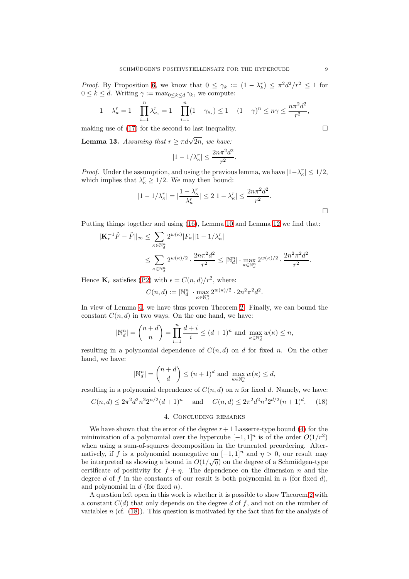*Proof.* By Proposition [6,](#page-5-3) we know that  $0 \leq \gamma_k := (1 - \lambda_k^r) \leq \pi^2 d^2 / r^2 \leq 1$  for  $0 \leq k \leq d$ . Writing  $\gamma := \max_{0 \leq k \leq d} \gamma_k$ , we compute:

$$
1 - \lambda_{\kappa}^r = 1 - \prod_{i=1}^n \lambda_{\kappa_i}^r = 1 - \prod_{i=1}^n (1 - \gamma_{\kappa_i}) \le 1 - (1 - \gamma)^n \le n\gamma \le \frac{n\pi^2 d^2}{r^2},
$$

making use of [\(17\)](#page-7-4) for the second to last inequality.  $\Box$ 

**Lemma 13.** Assuming that  $r \geq \pi d \sqrt{2n}$ , we have:

$$
|1 - 1/\lambda_{\kappa}^r| \le \frac{2n\pi^2 d^2}{r^2}.
$$

*Proof.* Under the assumption, and using the previous lemma, we have  $|1-\lambda_{\kappa}^r| \leq 1/2$ , which implies that  $\lambda_{\kappa}^r \geq 1/2$ . We may then bound:

$$
|1 - 1/\lambda_{\kappa}^r| = |\frac{1 - \lambda_{\kappa}^r}{\lambda_{\kappa}^r}| \le 2|1 - \lambda_{\kappa}^r| \le \frac{2n\pi^2 d^2}{r^2}.
$$

Putting things together and using [\(16\)](#page-7-3), Lemma [10](#page-7-5) and Lemma [12](#page-7-6) we find that:

$$
\begin{aligned} \|\mathbf{K}_r^{-1}\tilde{F}-\tilde{F}\|_\infty &\leq \sum_{\kappa\in\mathbb{N}_d^n} 2^{w(\kappa)}|F_\kappa||1-1/\lambda_\kappa^r| \\ &\leq \sum_{\kappa\in\mathbb{N}_d^n} 2^{w(\kappa)/2}\cdot \frac{2n\pi^2d^2}{r^2} \leq |\mathbb{N}_d^n| \cdot \max_{\kappa\in\mathbb{N}_d^n} 2^{w(\kappa)/2}\cdot \frac{2n^2\pi^2d^2}{r^2}. \end{aligned}
$$

Hence  $\mathbf{K}_r$  satisfies [\(P2\)](#page-1-3) with  $\epsilon = C(n, d)/r^2$ , where:

$$
C(n,d):=|\mathbb{N}^n_d|\cdot \max_{\kappa\in\mathbb{N}^n_d}2^{w(\kappa)/2}\cdot 2n^2\pi^2d^2.
$$

In view of Lemma [4,](#page-2-1) we have thus proven Theorem [2.](#page-1-1) Finally, we can bound the constant  $C(n, d)$  in two ways. On the one hand, we have:

$$
|\mathbb{N}^n_d| = \binom{n+d}{n} = \prod_{i=1}^n \frac{d+i}{i} \le (d+1)^n \text{ and } \max_{\kappa \in \mathbb{N}^n_d} w(\kappa) \le n,
$$

resulting in a polynomial dependence of  $C(n, d)$  on d for fixed n. On the other hand, we have:

$$
|\mathbb{N}_d^n| = \binom{n+d}{d} \le (n+1)^d \text{ and } \max_{\kappa \in \mathbb{N}_d^n} w(\kappa) \le d,
$$

resulting in a polynomial dependence of  $C(n, d)$  on n for fixed d. Namely, we have:

<span id="page-8-0"></span>
$$
C(n,d) \le 2\pi^2 d^2 n^2 2^{n/2} (d+1)^n \quad \text{and} \quad C(n,d) \le 2\pi^2 d^2 n^2 2^{d/2} (n+1)^d. \tag{18}
$$

## 4. Concluding remarks

We have shown that the error of the degree  $r+1$  Lasserre-type bound [\(4\)](#page-1-0) for the minimization of a polynomial over the hypercube  $[-1, 1]^n$  is of the order  $O(1/r^2)$ when using a sum-of-squares decomposition in the truncated preordering. Alternatively, if f is a polynomial nonnegative on  $[-1, 1]^n$  and  $\eta > 0$ , our result may be interpreted as showing a bound in  $O(1/\sqrt{\eta})$  on the degree of a Schmüdgen-type certificate of positivity for  $f + \eta$ . The dependence on the dimension n and the degree d of f in the constants of our result is both polynomial in n (for fixed d). and polynomial in  $d$  (for fixed n).

A question left open in this work is whether it is possible to show Theorem [2](#page-1-1) with a constant  $C(d)$  that only depends on the degree d of f, and not on the number of variables  $n$  (cf. [\(18\)](#page-8-0)). This question is motivated by the fact that for the analysis of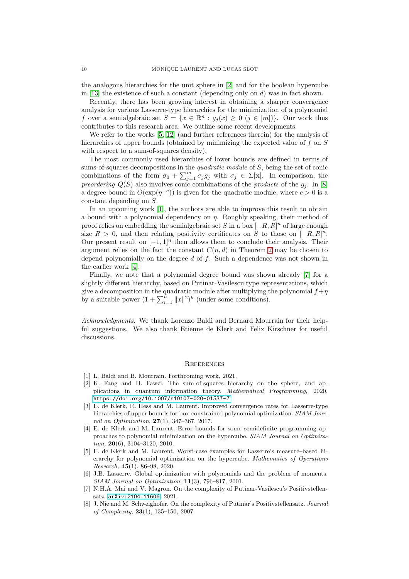the analogous hierarchies for the unit sphere in [\[2\]](#page-9-1) and for the boolean hypercube in [\[13\]](#page-10-2) the existence of such a constant (depending only on  $d$ ) was in fact shown.

Recently, there has been growing interest in obtaining a sharper convergence analysis for various Lasserre-type hierarchies for the minimization of a polynomial f over a semialgebraic set  $S = \{x \in \mathbb{R}^n : g_j(x) \ge 0 \ (j \in [m])\}$ . Our work thus contributes to this research area. We outline some recent developments.

We refer to the works [\[5,](#page-9-4) [12\]](#page-10-8) (and further references therein) for the analysis of hierarchies of upper bounds (obtained by minimizing the expected value of f on S with respect to a sum-of-squares density).

The most commonly used hierarchies of lower bounds are defined in terms of sums-of-squares decompositions in the *quadratic module* of S, being the set of conic combinations of the form  $\sigma_0 + \sum_{j=1}^m \sigma_j g_j$  with  $\sigma_j \in \Sigma[\mathbf{x}]$ . In comparison, the *preordering*  $Q(S)$  also involves conic combinations of the *products* of the  $g_i$ . In [\[8\]](#page-9-5) a degree bound in  $O(\exp(\eta^{-c}))$  is given for the quadratic module, where  $c > 0$  is a constant depending on S.

In an upcoming work [\[1\]](#page-9-6), the authors are able to improve this result to obtain a bound with a polynomial dependency on  $\eta$ . Roughly speaking, their method of proof relies on embedding the semialgebraic set S in a box  $[-R, R]^n$  of large enough size  $R > 0$ , and then relating positivity certificates on S to those on  $[-R, R]^n$ . Our present result on  $[-1, 1]^n$  then allows them to conclude their analysis. Their argument relies on the fact the constant  $C(n, d)$  in Theorem [2](#page-1-1) may be chosen to depend polynomially on the degree  $d$  of  $f$ . Such a dependence was not shown in the earlier work [\[4\]](#page-9-3).

Finally, we note that a polynomial degree bound was shown already [\[7\]](#page-9-7) for a slightly different hierarchy, based on Putinar-Vasilescu type representations, which give a decomposition in the quadratic module after multiplying the polynomial  $f + \eta$ by a suitable power  $(1 + \sum_{i=1}^{n} ||x||^2)^k$  (under some conditions).

*Acknowledgments.* We thank Lorenzo Baldi and Bernard Mourrain for their helpful suggestions. We also thank Etienne de Klerk and Felix Kirschner for useful discussions.

#### **REFERENCES**

- <span id="page-9-6"></span><span id="page-9-1"></span>[1] L. Baldi and B. Mourrain. Forthcoming work, 2021.
- [2] K. Fang and H. Fawzi. The sum-of-squares hierarchy on the sphere, and applications in quantum information theory. Mathematical Programming, 2020. <https://doi.org/10.1007/s10107-020-01537-7>
- <span id="page-9-2"></span>[3] E. de Klerk, R. Hess and M. Laurent. Improved convergence rates for Lasserre-type hierarchies of upper bounds for box-constrained polynomial optimization. SIAM Journal on Optimization, 27(1), 347–367, 2017.
- <span id="page-9-3"></span>[4] E. de Klerk and M. Laurent. Error bounds for some semidefinite programming approaches to polynomial minimization on the hypercube. SIAM Journal on Optimization,  $20(6)$ ,  $3104-3120$ ,  $2010$ .
- <span id="page-9-4"></span>[5] E. de Klerk and M. Laurent. Worst-case examples for Lasserre's measure–based hierarchy for polynomial optimization on the hypercube. Mathematics of Operations Research, 45(1), 86–98, 2020.
- <span id="page-9-0"></span>[6] J.B. Lasserre. Global optimization with polynomials and the problem of moments. SIAM Journal on Optimization, 11(3), 796–817, 2001.
- <span id="page-9-7"></span>[7] N.H.A. Mai and V. Magron. On the complexity of Putinar-Vasilescu's Positivstellensatz. <arXiv:2104.11606>, 2021.
- <span id="page-9-5"></span>[8] J. Nie and M. Schweighofer. On the complexity of Putinar's Positivstellensatz. Journal of Complexity, 23(1), 135–150, 2007.